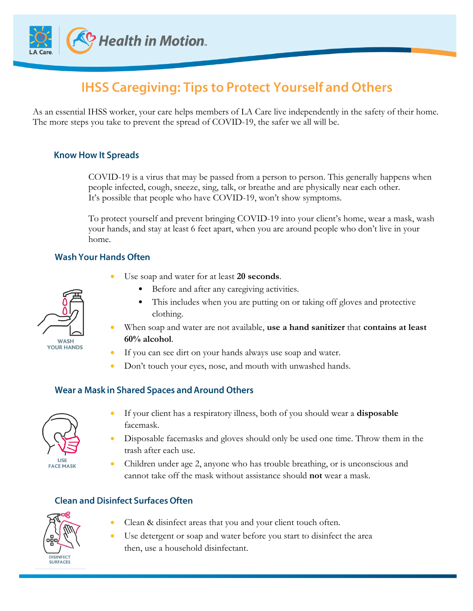

# **IHSS Caregiving: Tips to Protect Yourself and Others**

As an essential IHSS worker, your care helps members of LA Care live independently in the safety of their home. The more steps you take to prevent the spread of COVID-19, the safer we all will be.

## **Know How It Spreads**

COVID-19 is a virus that may be passed from a person to person. This generally happens when people infected, cough, sneeze, sing, talk, or breathe and are physically near each other. It's possible that people who have COVID-19, won't show symptoms.

To protect yourself and prevent bringing COVID-19 into your client's home, wear a mask, wash your hands, and stay at least 6 feet apart, when you are around people who don't live in your home.

## **Wash Your Hands Often**

- Use soap and water for at least **20 seconds**.
	- Before and after any caregiving activities.
	- This includes when you are putting on or taking off gloves and protective clothing.
- When soap and water are not available, **use a hand sanitizer** that **contains at least 60% alcohol**.
- If you can see dirt on your hands always use soap and water.
- Don't touch your eyes, nose, and mouth with unwashed hands.

## Wear a Mask in Shared Spaces and Around Others



- If your client has a respiratory illness, both of you should wear a **disposable** facemask.
- Disposable facemasks and gloves should only be used one time. Throw them in the trash after each use.
- Children under age 2, anyone who has trouble breathing, or is unconscious and cannot take off the mask without assistance should **not** wear a mask.

# **Clean and Disinfect Surfaces Often**



- Clean & disinfect areas that you and your client touch often.
- Use detergent or soap and water before you start to disinfect the area then, use a household disinfectant.